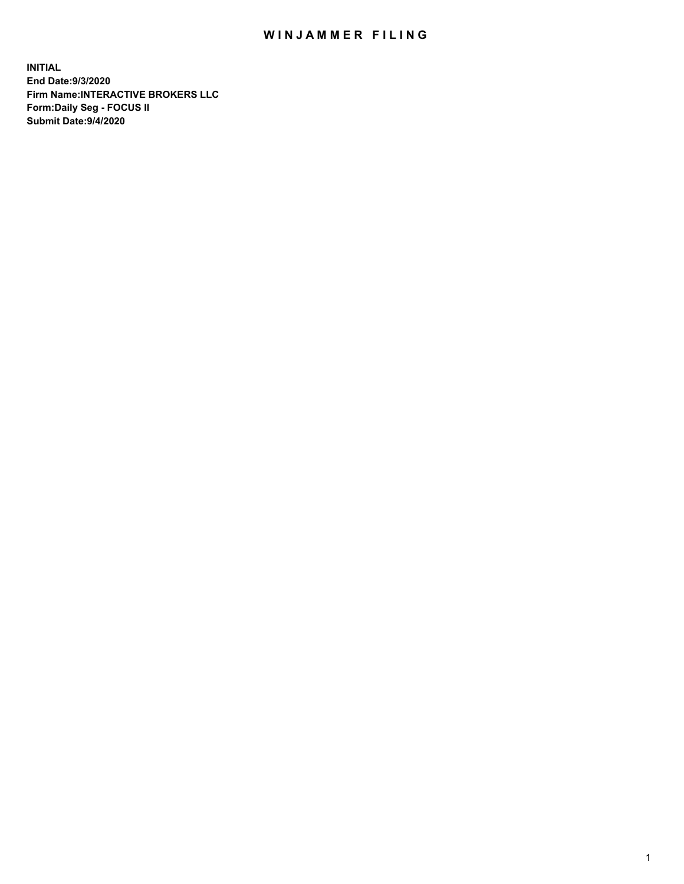## WIN JAMMER FILING

**INITIAL End Date:9/3/2020 Firm Name:INTERACTIVE BROKERS LLC Form:Daily Seg - FOCUS II Submit Date:9/4/2020**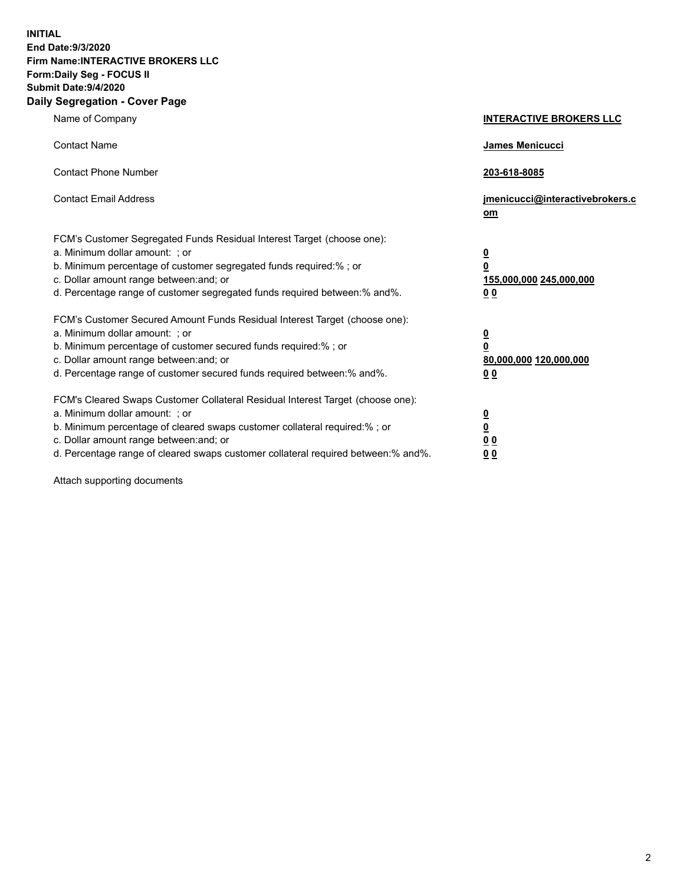**INITIAL End Date:9/3/2020 Firm Name:INTERACTIVE BROKERS LLC Form:Daily Seg - FOCUS II Submit Date:9/4/2020 Daily Segregation - Cover Page**

| Name of Company                                                                                                                                                                                                                                                                                                                | <b>INTERACTIVE BROKERS LLC</b>                                                      |
|--------------------------------------------------------------------------------------------------------------------------------------------------------------------------------------------------------------------------------------------------------------------------------------------------------------------------------|-------------------------------------------------------------------------------------|
| <b>Contact Name</b>                                                                                                                                                                                                                                                                                                            | <b>James Menicucci</b>                                                              |
| <b>Contact Phone Number</b>                                                                                                                                                                                                                                                                                                    | 203-618-8085                                                                        |
| <b>Contact Email Address</b>                                                                                                                                                                                                                                                                                                   | jmenicucci@interactivebrokers.c<br>om                                               |
| FCM's Customer Segregated Funds Residual Interest Target (choose one):<br>a. Minimum dollar amount: ; or<br>b. Minimum percentage of customer segregated funds required:%; or<br>c. Dollar amount range between: and; or<br>d. Percentage range of customer segregated funds required between: % and %.                        | $\overline{\mathbf{0}}$<br>$\overline{\mathbf{0}}$<br>155,000,000 245,000,000<br>00 |
| FCM's Customer Secured Amount Funds Residual Interest Target (choose one):<br>a. Minimum dollar amount: ; or<br>b. Minimum percentage of customer secured funds required:%; or<br>c. Dollar amount range between: and; or<br>d. Percentage range of customer secured funds required between:% and%.                            | $\overline{\mathbf{0}}$<br>$\overline{\mathbf{0}}$<br>80,000,000 120,000,000<br>00  |
| FCM's Cleared Swaps Customer Collateral Residual Interest Target (choose one):<br>a. Minimum dollar amount: ; or<br>b. Minimum percentage of cleared swaps customer collateral required:% ; or<br>c. Dollar amount range between: and; or<br>d. Percentage range of cleared swaps customer collateral required between:% and%. | $\frac{0}{0}$<br>0 <sub>0</sub><br>0 <sub>0</sub>                                   |

Attach supporting documents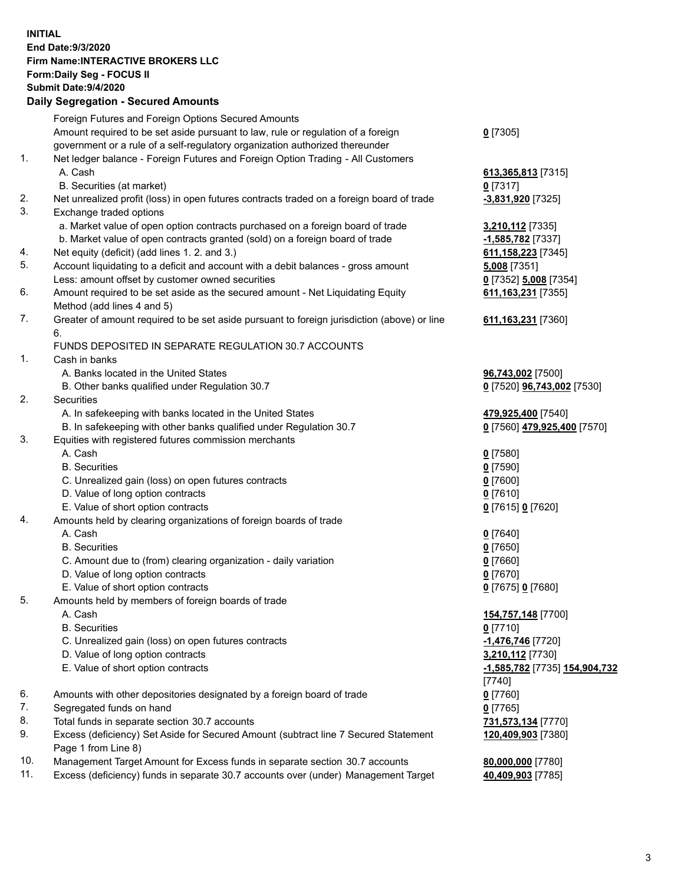**INITIAL End Date:9/3/2020 Firm Name:INTERACTIVE BROKERS LLC Form:Daily Seg - FOCUS II Submit Date:9/4/2020 Daily Segregation - Secured Amounts**

| Foreign Futures and Foreign Options Secured Amounts                                       |                                                                                                                                                                                                                                                                                                                                                                                                                                                                                                                                                                                                                                                                                                                                                                                                                                                                                                                                                                                                                                                                                                                                                                                                                                                                                                                                                                                                                                                                                                                                                                                                                                                                                                                                                                                                  |
|-------------------------------------------------------------------------------------------|--------------------------------------------------------------------------------------------------------------------------------------------------------------------------------------------------------------------------------------------------------------------------------------------------------------------------------------------------------------------------------------------------------------------------------------------------------------------------------------------------------------------------------------------------------------------------------------------------------------------------------------------------------------------------------------------------------------------------------------------------------------------------------------------------------------------------------------------------------------------------------------------------------------------------------------------------------------------------------------------------------------------------------------------------------------------------------------------------------------------------------------------------------------------------------------------------------------------------------------------------------------------------------------------------------------------------------------------------------------------------------------------------------------------------------------------------------------------------------------------------------------------------------------------------------------------------------------------------------------------------------------------------------------------------------------------------------------------------------------------------------------------------------------------------|
| Amount required to be set aside pursuant to law, rule or regulation of a foreign          | $0$ [7305]                                                                                                                                                                                                                                                                                                                                                                                                                                                                                                                                                                                                                                                                                                                                                                                                                                                                                                                                                                                                                                                                                                                                                                                                                                                                                                                                                                                                                                                                                                                                                                                                                                                                                                                                                                                       |
| government or a rule of a self-regulatory organization authorized thereunder              |                                                                                                                                                                                                                                                                                                                                                                                                                                                                                                                                                                                                                                                                                                                                                                                                                                                                                                                                                                                                                                                                                                                                                                                                                                                                                                                                                                                                                                                                                                                                                                                                                                                                                                                                                                                                  |
| Net ledger balance - Foreign Futures and Foreign Option Trading - All Customers           |                                                                                                                                                                                                                                                                                                                                                                                                                                                                                                                                                                                                                                                                                                                                                                                                                                                                                                                                                                                                                                                                                                                                                                                                                                                                                                                                                                                                                                                                                                                                                                                                                                                                                                                                                                                                  |
| A. Cash                                                                                   | 613,365,813 [7315]                                                                                                                                                                                                                                                                                                                                                                                                                                                                                                                                                                                                                                                                                                                                                                                                                                                                                                                                                                                                                                                                                                                                                                                                                                                                                                                                                                                                                                                                                                                                                                                                                                                                                                                                                                               |
| B. Securities (at market)                                                                 | $0$ [7317]                                                                                                                                                                                                                                                                                                                                                                                                                                                                                                                                                                                                                                                                                                                                                                                                                                                                                                                                                                                                                                                                                                                                                                                                                                                                                                                                                                                                                                                                                                                                                                                                                                                                                                                                                                                       |
| Net unrealized profit (loss) in open futures contracts traded on a foreign board of trade | -3,831,920 [7325]                                                                                                                                                                                                                                                                                                                                                                                                                                                                                                                                                                                                                                                                                                                                                                                                                                                                                                                                                                                                                                                                                                                                                                                                                                                                                                                                                                                                                                                                                                                                                                                                                                                                                                                                                                                |
| Exchange traded options                                                                   |                                                                                                                                                                                                                                                                                                                                                                                                                                                                                                                                                                                                                                                                                                                                                                                                                                                                                                                                                                                                                                                                                                                                                                                                                                                                                                                                                                                                                                                                                                                                                                                                                                                                                                                                                                                                  |
| a. Market value of open option contracts purchased on a foreign board of trade            | 3,210,112 [7335]                                                                                                                                                                                                                                                                                                                                                                                                                                                                                                                                                                                                                                                                                                                                                                                                                                                                                                                                                                                                                                                                                                                                                                                                                                                                                                                                                                                                                                                                                                                                                                                                                                                                                                                                                                                 |
| b. Market value of open contracts granted (sold) on a foreign board of trade              | -1,585,782 <sup>[7337]</sup>                                                                                                                                                                                                                                                                                                                                                                                                                                                                                                                                                                                                                                                                                                                                                                                                                                                                                                                                                                                                                                                                                                                                                                                                                                                                                                                                                                                                                                                                                                                                                                                                                                                                                                                                                                     |
| Net equity (deficit) (add lines 1. 2. and 3.)                                             | 611, 158, 223 [7345]                                                                                                                                                                                                                                                                                                                                                                                                                                                                                                                                                                                                                                                                                                                                                                                                                                                                                                                                                                                                                                                                                                                                                                                                                                                                                                                                                                                                                                                                                                                                                                                                                                                                                                                                                                             |
|                                                                                           | 5,008 [7351]                                                                                                                                                                                                                                                                                                                                                                                                                                                                                                                                                                                                                                                                                                                                                                                                                                                                                                                                                                                                                                                                                                                                                                                                                                                                                                                                                                                                                                                                                                                                                                                                                                                                                                                                                                                     |
|                                                                                           | 0 [7352] 5,008 [7354]                                                                                                                                                                                                                                                                                                                                                                                                                                                                                                                                                                                                                                                                                                                                                                                                                                                                                                                                                                                                                                                                                                                                                                                                                                                                                                                                                                                                                                                                                                                                                                                                                                                                                                                                                                            |
|                                                                                           | 611, 163, 231 [7355]                                                                                                                                                                                                                                                                                                                                                                                                                                                                                                                                                                                                                                                                                                                                                                                                                                                                                                                                                                                                                                                                                                                                                                                                                                                                                                                                                                                                                                                                                                                                                                                                                                                                                                                                                                             |
|                                                                                           |                                                                                                                                                                                                                                                                                                                                                                                                                                                                                                                                                                                                                                                                                                                                                                                                                                                                                                                                                                                                                                                                                                                                                                                                                                                                                                                                                                                                                                                                                                                                                                                                                                                                                                                                                                                                  |
|                                                                                           | 611, 163, 231 [7360]                                                                                                                                                                                                                                                                                                                                                                                                                                                                                                                                                                                                                                                                                                                                                                                                                                                                                                                                                                                                                                                                                                                                                                                                                                                                                                                                                                                                                                                                                                                                                                                                                                                                                                                                                                             |
|                                                                                           |                                                                                                                                                                                                                                                                                                                                                                                                                                                                                                                                                                                                                                                                                                                                                                                                                                                                                                                                                                                                                                                                                                                                                                                                                                                                                                                                                                                                                                                                                                                                                                                                                                                                                                                                                                                                  |
|                                                                                           |                                                                                                                                                                                                                                                                                                                                                                                                                                                                                                                                                                                                                                                                                                                                                                                                                                                                                                                                                                                                                                                                                                                                                                                                                                                                                                                                                                                                                                                                                                                                                                                                                                                                                                                                                                                                  |
|                                                                                           |                                                                                                                                                                                                                                                                                                                                                                                                                                                                                                                                                                                                                                                                                                                                                                                                                                                                                                                                                                                                                                                                                                                                                                                                                                                                                                                                                                                                                                                                                                                                                                                                                                                                                                                                                                                                  |
|                                                                                           | 96,743,002 [7500]                                                                                                                                                                                                                                                                                                                                                                                                                                                                                                                                                                                                                                                                                                                                                                                                                                                                                                                                                                                                                                                                                                                                                                                                                                                                                                                                                                                                                                                                                                                                                                                                                                                                                                                                                                                |
|                                                                                           | 0 [7520] 96,743,002 [7530]                                                                                                                                                                                                                                                                                                                                                                                                                                                                                                                                                                                                                                                                                                                                                                                                                                                                                                                                                                                                                                                                                                                                                                                                                                                                                                                                                                                                                                                                                                                                                                                                                                                                                                                                                                       |
|                                                                                           |                                                                                                                                                                                                                                                                                                                                                                                                                                                                                                                                                                                                                                                                                                                                                                                                                                                                                                                                                                                                                                                                                                                                                                                                                                                                                                                                                                                                                                                                                                                                                                                                                                                                                                                                                                                                  |
|                                                                                           | 479,925,400 [7540]                                                                                                                                                                                                                                                                                                                                                                                                                                                                                                                                                                                                                                                                                                                                                                                                                                                                                                                                                                                                                                                                                                                                                                                                                                                                                                                                                                                                                                                                                                                                                                                                                                                                                                                                                                               |
|                                                                                           | 0 [7560] 479,925,400 [7570]                                                                                                                                                                                                                                                                                                                                                                                                                                                                                                                                                                                                                                                                                                                                                                                                                                                                                                                                                                                                                                                                                                                                                                                                                                                                                                                                                                                                                                                                                                                                                                                                                                                                                                                                                                      |
|                                                                                           |                                                                                                                                                                                                                                                                                                                                                                                                                                                                                                                                                                                                                                                                                                                                                                                                                                                                                                                                                                                                                                                                                                                                                                                                                                                                                                                                                                                                                                                                                                                                                                                                                                                                                                                                                                                                  |
|                                                                                           | $0$ [7580]                                                                                                                                                                                                                                                                                                                                                                                                                                                                                                                                                                                                                                                                                                                                                                                                                                                                                                                                                                                                                                                                                                                                                                                                                                                                                                                                                                                                                                                                                                                                                                                                                                                                                                                                                                                       |
|                                                                                           | $0$ [7590]                                                                                                                                                                                                                                                                                                                                                                                                                                                                                                                                                                                                                                                                                                                                                                                                                                                                                                                                                                                                                                                                                                                                                                                                                                                                                                                                                                                                                                                                                                                                                                                                                                                                                                                                                                                       |
|                                                                                           | $0$ [7600]                                                                                                                                                                                                                                                                                                                                                                                                                                                                                                                                                                                                                                                                                                                                                                                                                                                                                                                                                                                                                                                                                                                                                                                                                                                                                                                                                                                                                                                                                                                                                                                                                                                                                                                                                                                       |
|                                                                                           | $0$ [7610]                                                                                                                                                                                                                                                                                                                                                                                                                                                                                                                                                                                                                                                                                                                                                                                                                                                                                                                                                                                                                                                                                                                                                                                                                                                                                                                                                                                                                                                                                                                                                                                                                                                                                                                                                                                       |
|                                                                                           | 0 [7615] 0 [7620]                                                                                                                                                                                                                                                                                                                                                                                                                                                                                                                                                                                                                                                                                                                                                                                                                                                                                                                                                                                                                                                                                                                                                                                                                                                                                                                                                                                                                                                                                                                                                                                                                                                                                                                                                                                |
|                                                                                           |                                                                                                                                                                                                                                                                                                                                                                                                                                                                                                                                                                                                                                                                                                                                                                                                                                                                                                                                                                                                                                                                                                                                                                                                                                                                                                                                                                                                                                                                                                                                                                                                                                                                                                                                                                                                  |
|                                                                                           | $0$ [7640]                                                                                                                                                                                                                                                                                                                                                                                                                                                                                                                                                                                                                                                                                                                                                                                                                                                                                                                                                                                                                                                                                                                                                                                                                                                                                                                                                                                                                                                                                                                                                                                                                                                                                                                                                                                       |
|                                                                                           | $0$ [7650]                                                                                                                                                                                                                                                                                                                                                                                                                                                                                                                                                                                                                                                                                                                                                                                                                                                                                                                                                                                                                                                                                                                                                                                                                                                                                                                                                                                                                                                                                                                                                                                                                                                                                                                                                                                       |
|                                                                                           | $0$ [7660]<br>$0$ [7670]                                                                                                                                                                                                                                                                                                                                                                                                                                                                                                                                                                                                                                                                                                                                                                                                                                                                                                                                                                                                                                                                                                                                                                                                                                                                                                                                                                                                                                                                                                                                                                                                                                                                                                                                                                         |
|                                                                                           |                                                                                                                                                                                                                                                                                                                                                                                                                                                                                                                                                                                                                                                                                                                                                                                                                                                                                                                                                                                                                                                                                                                                                                                                                                                                                                                                                                                                                                                                                                                                                                                                                                                                                                                                                                                                  |
|                                                                                           | 0 [7675] 0 [7680]                                                                                                                                                                                                                                                                                                                                                                                                                                                                                                                                                                                                                                                                                                                                                                                                                                                                                                                                                                                                                                                                                                                                                                                                                                                                                                                                                                                                                                                                                                                                                                                                                                                                                                                                                                                |
|                                                                                           | 154,757,148 [7700]                                                                                                                                                                                                                                                                                                                                                                                                                                                                                                                                                                                                                                                                                                                                                                                                                                                                                                                                                                                                                                                                                                                                                                                                                                                                                                                                                                                                                                                                                                                                                                                                                                                                                                                                                                               |
|                                                                                           | $0$ [7710]                                                                                                                                                                                                                                                                                                                                                                                                                                                                                                                                                                                                                                                                                                                                                                                                                                                                                                                                                                                                                                                                                                                                                                                                                                                                                                                                                                                                                                                                                                                                                                                                                                                                                                                                                                                       |
|                                                                                           | -1,476,746 [7720]                                                                                                                                                                                                                                                                                                                                                                                                                                                                                                                                                                                                                                                                                                                                                                                                                                                                                                                                                                                                                                                                                                                                                                                                                                                                                                                                                                                                                                                                                                                                                                                                                                                                                                                                                                                |
|                                                                                           | 3,210,112 [7730]                                                                                                                                                                                                                                                                                                                                                                                                                                                                                                                                                                                                                                                                                                                                                                                                                                                                                                                                                                                                                                                                                                                                                                                                                                                                                                                                                                                                                                                                                                                                                                                                                                                                                                                                                                                 |
|                                                                                           | -1,585,782 [7735] 154,904,732                                                                                                                                                                                                                                                                                                                                                                                                                                                                                                                                                                                                                                                                                                                                                                                                                                                                                                                                                                                                                                                                                                                                                                                                                                                                                                                                                                                                                                                                                                                                                                                                                                                                                                                                                                    |
|                                                                                           | $[7740]$                                                                                                                                                                                                                                                                                                                                                                                                                                                                                                                                                                                                                                                                                                                                                                                                                                                                                                                                                                                                                                                                                                                                                                                                                                                                                                                                                                                                                                                                                                                                                                                                                                                                                                                                                                                         |
|                                                                                           | $0$ [7760]                                                                                                                                                                                                                                                                                                                                                                                                                                                                                                                                                                                                                                                                                                                                                                                                                                                                                                                                                                                                                                                                                                                                                                                                                                                                                                                                                                                                                                                                                                                                                                                                                                                                                                                                                                                       |
|                                                                                           | $0$ [7765]                                                                                                                                                                                                                                                                                                                                                                                                                                                                                                                                                                                                                                                                                                                                                                                                                                                                                                                                                                                                                                                                                                                                                                                                                                                                                                                                                                                                                                                                                                                                                                                                                                                                                                                                                                                       |
|                                                                                           | 731,573,134 [7770]                                                                                                                                                                                                                                                                                                                                                                                                                                                                                                                                                                                                                                                                                                                                                                                                                                                                                                                                                                                                                                                                                                                                                                                                                                                                                                                                                                                                                                                                                                                                                                                                                                                                                                                                                                               |
|                                                                                           | 120,409,903 [7380]                                                                                                                                                                                                                                                                                                                                                                                                                                                                                                                                                                                                                                                                                                                                                                                                                                                                                                                                                                                                                                                                                                                                                                                                                                                                                                                                                                                                                                                                                                                                                                                                                                                                                                                                                                               |
|                                                                                           |                                                                                                                                                                                                                                                                                                                                                                                                                                                                                                                                                                                                                                                                                                                                                                                                                                                                                                                                                                                                                                                                                                                                                                                                                                                                                                                                                                                                                                                                                                                                                                                                                                                                                                                                                                                                  |
|                                                                                           | 80,000,000 [7780]                                                                                                                                                                                                                                                                                                                                                                                                                                                                                                                                                                                                                                                                                                                                                                                                                                                                                                                                                                                                                                                                                                                                                                                                                                                                                                                                                                                                                                                                                                                                                                                                                                                                                                                                                                                |
| Excess (deficiency) funds in separate 30.7 accounts over (under) Management Target        | 40,409,903 [7785]                                                                                                                                                                                                                                                                                                                                                                                                                                                                                                                                                                                                                                                                                                                                                                                                                                                                                                                                                                                                                                                                                                                                                                                                                                                                                                                                                                                                                                                                                                                                                                                                                                                                                                                                                                                |
|                                                                                           | Daily Segregation - Secureu Amounts<br>Account liquidating to a deficit and account with a debit balances - gross amount<br>Less: amount offset by customer owned securities<br>Amount required to be set aside as the secured amount - Net Liquidating Equity<br>Method (add lines 4 and 5)<br>Greater of amount required to be set aside pursuant to foreign jurisdiction (above) or line<br>6.<br>FUNDS DEPOSITED IN SEPARATE REGULATION 30.7 ACCOUNTS<br>Cash in banks<br>A. Banks located in the United States<br>B. Other banks qualified under Regulation 30.7<br><b>Securities</b><br>A. In safekeeping with banks located in the United States<br>B. In safekeeping with other banks qualified under Regulation 30.7<br>Equities with registered futures commission merchants<br>A. Cash<br><b>B.</b> Securities<br>C. Unrealized gain (loss) on open futures contracts<br>D. Value of long option contracts<br>E. Value of short option contracts<br>Amounts held by clearing organizations of foreign boards of trade<br>A. Cash<br><b>B.</b> Securities<br>C. Amount due to (from) clearing organization - daily variation<br>D. Value of long option contracts<br>E. Value of short option contracts<br>Amounts held by members of foreign boards of trade<br>A. Cash<br><b>B.</b> Securities<br>C. Unrealized gain (loss) on open futures contracts<br>D. Value of long option contracts<br>E. Value of short option contracts<br>Amounts with other depositories designated by a foreign board of trade<br>Segregated funds on hand<br>Total funds in separate section 30.7 accounts<br>Excess (deficiency) Set Aside for Secured Amount (subtract line 7 Secured Statement<br>Page 1 from Line 8)<br>Management Target Amount for Excess funds in separate section 30.7 accounts |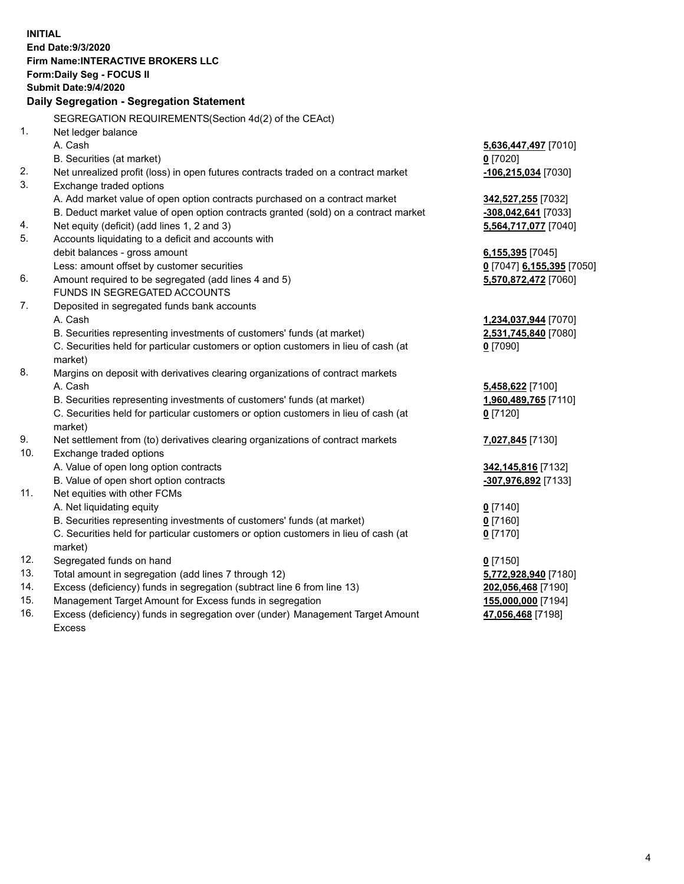**INITIAL End Date:9/3/2020 Firm Name:INTERACTIVE BROKERS LLC Form:Daily Seg - FOCUS II Submit Date:9/4/2020 Daily Segregation - Segregation Statement** SEGREGATION REQUIREMENTS(Section 4d(2) of the CEAct) 1. Net ledger balance A. Cash **5,636,447,497** [7010] B. Securities (at market) **0** [7020] 2. Net unrealized profit (loss) in open futures contracts traded on a contract market **-106,215,034** [7030] 3. Exchange traded options A. Add market value of open option contracts purchased on a contract market **342,527,255** [7032] B. Deduct market value of open option contracts granted (sold) on a contract market **-308,042,641** [7033] 4. Net equity (deficit) (add lines 1, 2 and 3) **5,564,717,077** [7040] 5. Accounts liquidating to a deficit and accounts with debit balances - gross amount **6,155,395** [7045] Less: amount offset by customer securities **0** [7047] **6,155,395** [7050] 6. Amount required to be segregated (add lines 4 and 5) **5,570,872,472** [7060] FUNDS IN SEGREGATED ACCOUNTS 7. Deposited in segregated funds bank accounts A. Cash **1,234,037,944** [7070] B. Securities representing investments of customers' funds (at market) **2,531,745,840** [7080] C. Securities held for particular customers or option customers in lieu of cash (at market) **0** [7090] 8. Margins on deposit with derivatives clearing organizations of contract markets A. Cash **5,458,622** [7100] B. Securities representing investments of customers' funds (at market) **1,960,489,765** [7110] C. Securities held for particular customers or option customers in lieu of cash (at market) **0** [7120] 9. Net settlement from (to) derivatives clearing organizations of contract markets **7,027,845** [7130] 10. Exchange traded options A. Value of open long option contracts **342,145,816** [7132] B. Value of open short option contracts **-307,976,892** [7133] 11. Net equities with other FCMs A. Net liquidating equity **0** [7140] B. Securities representing investments of customers' funds (at market) **0** [7160] C. Securities held for particular customers or option customers in lieu of cash (at market) **0** [7170] 12. Segregated funds on hand **0** [7150] 13. Total amount in segregation (add lines 7 through 12) **5,772,928,940** [7180] 14. Excess (deficiency) funds in segregation (subtract line 6 from line 13) **202,056,468** [7190] 15. Management Target Amount for Excess funds in segregation **155,000,000** [7194]

16. Excess (deficiency) funds in segregation over (under) Management Target Amount Excess

**47,056,468** [7198]